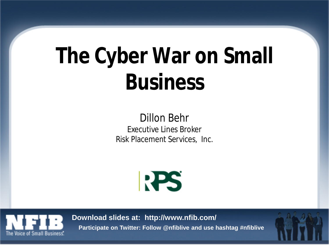# **The Cyber War on Small Business**

Dillon Behr Executive Lines Broker Risk Placement Services, Inc.





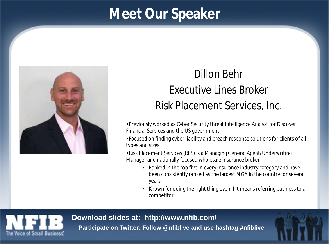## **Meet Our Speaker**



### Dillon Behr Executive Lines Broker Risk Placement Services, Inc.

•Previously worked as Cyber Security threat Intelligence Analyst for Discover Financial Services and the US government.

•Focused on finding cyber liability and breach response solutions for clients of all types and sizes.

•Risk Placement Services (RPS) is a Managing General Agent/Underwriting Manager and nationally focused wholesale insurance broker.

- Ranked in the top five in every insurance industry category and have been consistently ranked as the largest MGA in the country for several years.
- Known for doing the right thing even if it means referring business to a competitor

#### **Download slides at: http://www.nfib.com/**



**Participate on Twitter: Follow @nfiblive and use hashtag #nfiblive**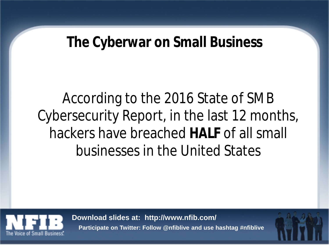### **The Cyberwar on Small Business**

According to the 2016 State of SMB Cybersecurity Report, in the last 12 months, hackers have breached **HALF** of all small businesses in the United States



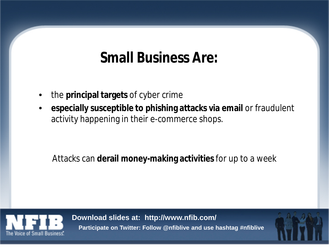## **Small Business Are:**

- the **principal targets** of cyber crime
- **especially susceptible to phishing attacks via email** or fraudulent activity happening in their e-commerce shops.

### Attacks can **derail money-making activities** for up to a week

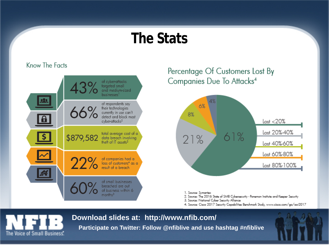### **The Stats**

#### Know The Facts



### Percentage Of Customers Lost By Companies Due To Attacks<sup>4</sup>



1. Source: Symantec

- 2. Source: The 2016 State of SMB Cybersecurity Ponemon Institute and Keeper Security
- 3. Source: National Cyber Security Alliance
- 4. Source: Cisco 2017 Security Capabilities Benchmark Study, www.cisco.com/go/acr2017

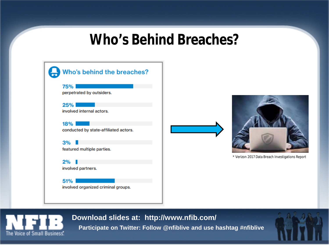### **Who's Behind Breaches?**





\* Verizon 2017 Data Breach Investigations Report



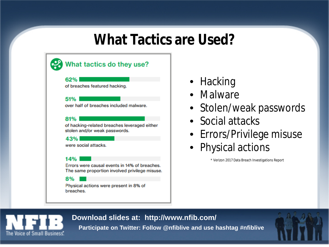### **What Tactics are Used?**

### What tactics do they use?

#### 62%

of breaches featured hacking.

#### 51%

over half of breaches included malware.

#### 81%

of hacking-related breaches leveraged either stolen and/or weak passwords.

#### 43%

were social attacks.

#### 14%

Errors were causal events in 14% of breaches. The same proportion involved privilege misuse.

#### 8%

Physical actions were present in 8% of breaches.

- Hacking
- Malware
- Stolen/weak passwords
- Social attacks
- Errors/Privilege misuse
- Physical actions

\* Verizon 2017 Data Breach Investigations Report



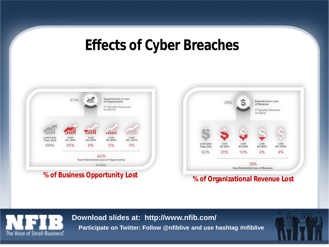## **Effects of Cyber Breaches**



### **% of Business Opportunity Lost % of Organizational Revenue Lost**





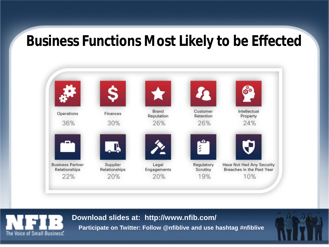### **Business Functions Most Likely to be Effected**



**Download slides at: http://www.nfib.com/**



**Participate on Twitter: Follow @nfiblive and use hashtag #nfiblive**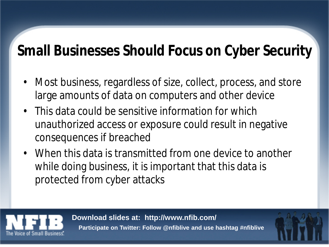# **Small Businesses Should Focus on Cyber Security**

- Most business, regardless of size, collect, process, and store large amounts of data on computers and other device
- This data could be sensitive information for which unauthorized access or exposure could result in negative consequences if breached
- When this data is transmitted from one device to another while doing business, it is important that this data is protected from cyber attacks

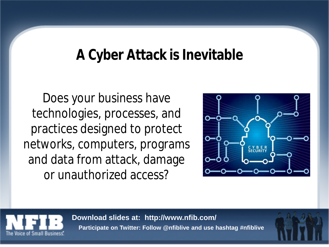### **A Cyber Attack is Inevitable**

Does your business have technologies, processes, and practices designed to protect networks, computers, programs and data from attack, damage or unauthorized access?





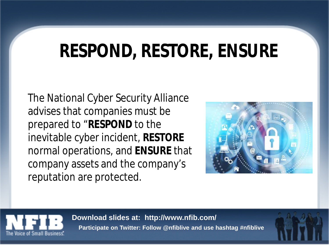# **RESPOND, RESTORE, ENSURE**

The National Cyber Security Alliance advises that companies must be prepared to "**RESPOND** to the inevitable cyber incident, **RESTORE** normal operations, and **ENSURE** that company assets and the company's reputation are protected.





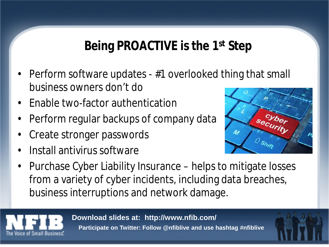### **Being PROACTIVE is the 1st Step**

- Perform software updates #1 overlooked thing that small business owners don't do
- Enable two-factor authentication
- Perform regular backups of company data
- Create stronger passwords
- Install antivirus software



• Purchase Cyber Liability Insurance – helps to mitigate losses from a variety of cyber incidents, including data breaches, business interruptions and network damage.

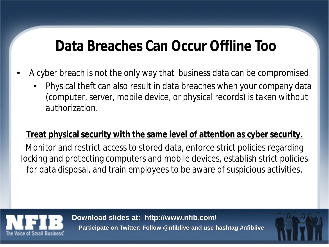## **Data Breaches Can Occur Offline Too**

- A cyber breach is not the only way that business data can be compromised.
	- Physical theft can also result in data breaches when your company data (computer, server, mobile device, or physical records) is taken without authorization.

### **Treat physical security with the same level of attention as cyber security.**

Monitor and restrict access to stored data, enforce strict policies regarding locking and protecting computers and mobile devices, establish strict policies for data disposal, and train employees to be aware of suspicious activities.

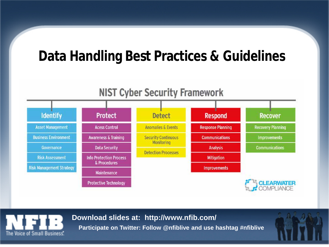## **Data Handling Best Practices & Guidelines**



The Voice of Small Business

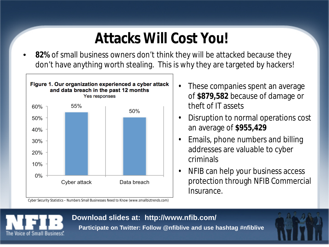# **Attacks Will Cost You!**

• **82%** of small business owners don't think they will be attacked because they don't have anything worth stealing. This is why they are targeted by hackers!



Cyber Security Statistics – Numbers Small Businesses Need to Know (www.smallbiztrends.com)

- These companies spent an average of **\$879,582** because of damage or theft of IT assets
- Disruption to normal operations cost an average of **\$955,429**
- Emails, phone numbers and billing addresses are valuable to cyber criminals
- NFIB can help your business access protection through NFIB Commercial Insurance.